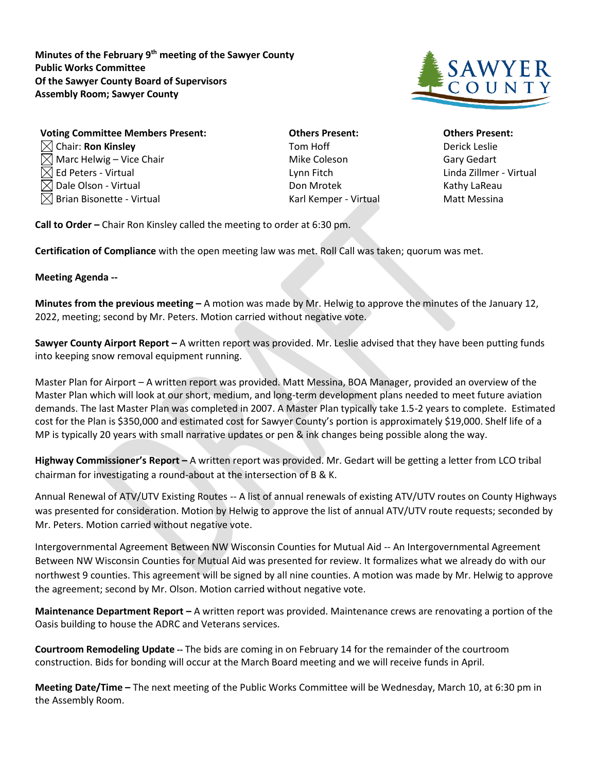**Minutes of the February 9th meeting of the Sawyer County Public Works Committee Of the Sawyer County Board of Supervisors Assembly Room; Sawyer County**



| <b>Voting Committee Members Present:</b> | <b>Others Present:</b> | <b>Others Prese</b>  |
|------------------------------------------|------------------------|----------------------|
| $\boxtimes$ Chair: Ron Kinsley           | Tom Hoff               | <b>Derick Leslie</b> |
| $\boxtimes$ Marc Helwig – Vice Chair     | Mike Coleson           | <b>Gary Gedart</b>   |
| $\boxtimes$ Ed Peters - Virtual          | Lynn Fitch             | Linda Zillmer        |
| $\boxtimes$ Dale Olson - Virtual         | Don Mrotek             | Kathy LaRea          |
| $\boxtimes$ Brian Bisonette - Virtual    | Karl Kemper - Virtual  | <b>Matt Messin</b>   |

**Vothers Present: Committee Committee Committee Others Present:** Ed Peters - Virtual Lynn Fitch Linda Zillmer - Virtual

**Call to Order –** Chair Ron Kinsley called the meeting to order at 6:30 pm.

**Certification of Compliance** with the open meeting law was met. Roll Call was taken; quorum was met.

## **Meeting Agenda --**

**Minutes from the previous meeting –** A motion was made by Mr. Helwig to approve the minutes of the January 12, 2022, meeting; second by Mr. Peters. Motion carried without negative vote.

**Sawyer County Airport Report –** A written report was provided. Mr. Leslie advised that they have been putting funds into keeping snow removal equipment running.

Master Plan for Airport – A written report was provided. Matt Messina, BOA Manager, provided an overview of the Master Plan which will look at our short, medium, and long-term development plans needed to meet future aviation demands. The last Master Plan was completed in 2007. A Master Plan typically take 1.5-2 years to complete. Estimated cost for the Plan is \$350,000 and estimated cost for Sawyer County's portion is approximately \$19,000. Shelf life of a MP is typically 20 years with small narrative updates or pen & ink changes being possible along the way.

**Highway Commissioner's Report –** A written report was provided. Mr. Gedart will be getting a letter from LCO tribal chairman for investigating a round-about at the intersection of B & K.

Annual Renewal of ATV/UTV Existing Routes -- A list of annual renewals of existing ATV/UTV routes on County Highways was presented for consideration. Motion by Helwig to approve the list of annual ATV/UTV route requests; seconded by Mr. Peters. Motion carried without negative vote.

Intergovernmental Agreement Between NW Wisconsin Counties for Mutual Aid -- An Intergovernmental Agreement Between NW Wisconsin Counties for Mutual Aid was presented for review. It formalizes what we already do with our northwest 9 counties. This agreement will be signed by all nine counties. A motion was made by Mr. Helwig to approve the agreement; second by Mr. Olson. Motion carried without negative vote.

**Maintenance Department Report –** A written report was provided. Maintenance crews are renovating a portion of the Oasis building to house the ADRC and Veterans services.

**Courtroom Remodeling Update --** The bids are coming in on February 14 for the remainder of the courtroom construction. Bids for bonding will occur at the March Board meeting and we will receive funds in April.

**Meeting Date/Time –** The next meeting of the Public Works Committee will be Wednesday, March 10, at 6:30 pm in the Assembly Room.